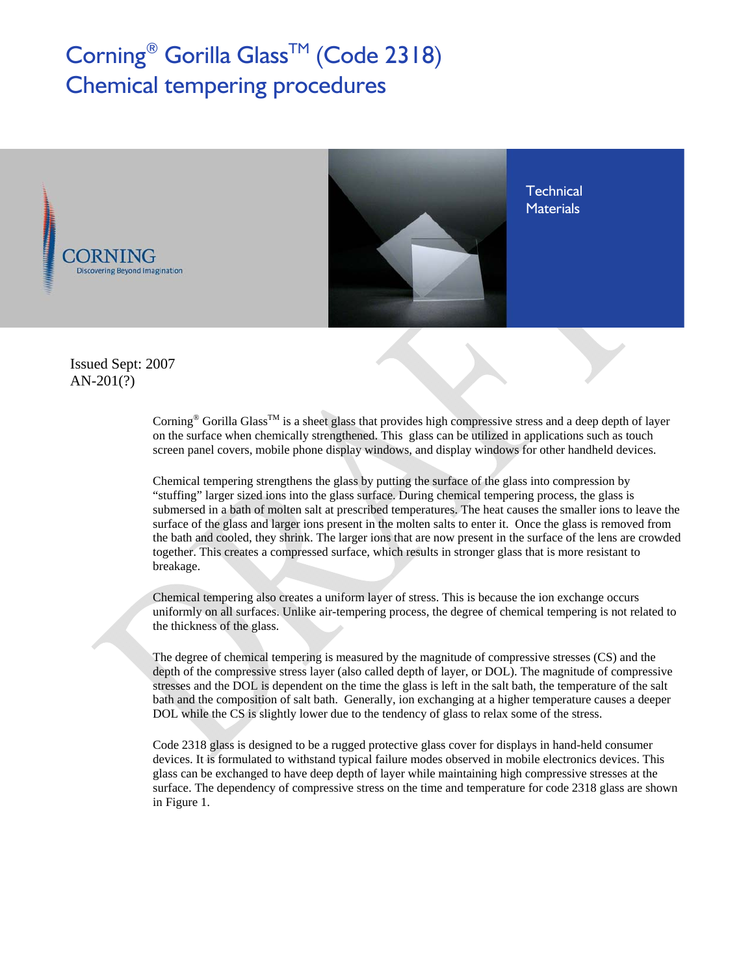## Corning<sup>®</sup> Gorilla Glass<sup>™</sup> (Code 2318) Chemical tempering procedures



 Issued Sept: 2007 AN-201(?)

> Corning<sup>®</sup> Gorilla Glass<sup>TM</sup> is a sheet glass that provides high compressive stress and a deep depth of layer on the surface when chemically strengthened. This glass can be utilized in applications such as touch screen panel covers, mobile phone display windows, and display windows for other handheld devices.

Chemical tempering strengthens the glass by putting the surface of the glass into compression by "stuffing" larger sized ions into the glass surface. During chemical tempering process, the glass is submersed in a bath of molten salt at prescribed temperatures. The heat causes the smaller ions to leave the surface of the glass and larger ions present in the molten salts to enter it. Once the glass is removed from the bath and cooled, they shrink. The larger ions that are now present in the surface of the lens are crowded together. This creates a compressed surface, which results in stronger glass that is more resistant to breakage.

Chemical tempering also creates a uniform layer of stress. This is because the ion exchange occurs uniformly on all surfaces. Unlike air-tempering process, the degree of chemical tempering is not related to the thickness of the glass.

The degree of chemical tempering is measured by the magnitude of compressive stresses (CS) and the depth of the compressive stress layer (also called depth of layer, or DOL). The magnitude of compressive stresses and the DOL is dependent on the time the glass is left in the salt bath, the temperature of the salt bath and the composition of salt bath. Generally, ion exchanging at a higher temperature causes a deeper DOL while the CS is slightly lower due to the tendency of glass to relax some of the stress.

Code 2318 glass is designed to be a rugged protective glass cover for displays in hand-held consumer devices. It is formulated to withstand typical failure modes observed in mobile electronics devices. This glass can be exchanged to have deep depth of layer while maintaining high compressive stresses at the surface. The dependency of compressive stress on the time and temperature for code 2318 glass are shown in Figure 1.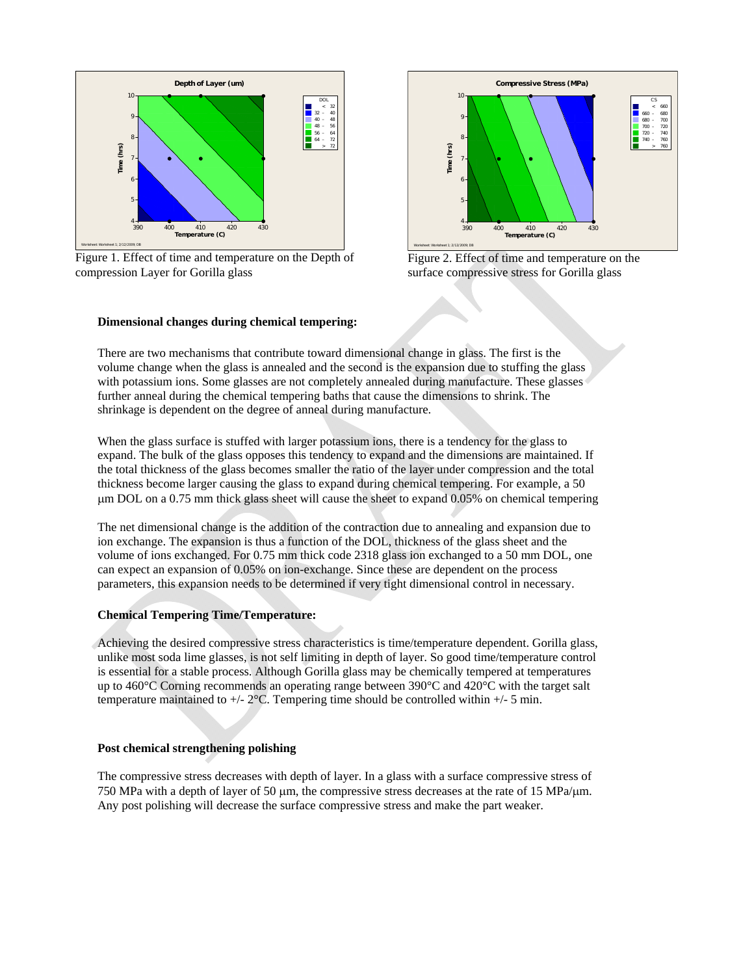

Figure 1. Effect of time and temperature on the Depth of compression Layer for Gorilla glass





## **Dimensional changes during chemical tempering:**

There are two mechanisms that contribute toward dimensional change in glass. The first is the volume change when the glass is annealed and the second is the expansion due to stuffing the glass with potassium ions. Some glasses are not completely annealed during manufacture. These glasses further anneal during the chemical tempering baths that cause the dimensions to shrink. The shrinkage is dependent on the degree of anneal during manufacture.

When the glass surface is stuffed with larger potassium ions, there is a tendency for the glass to expand. The bulk of the glass opposes this tendency to expand and the dimensions are maintained. If the total thickness of the glass becomes smaller the ratio of the layer under compression and the total thickness become larger causing the glass to expand during chemical tempering. For example, a 50 μm DOL on a 0.75 mm thick glass sheet will cause the sheet to expand 0.05% on chemical tempering

The net dimensional change is the addition of the contraction due to annealing and expansion due to ion exchange. The expansion is thus a function of the DOL, thickness of the glass sheet and the volume of ions exchanged. For 0.75 mm thick code 2318 glass ion exchanged to a 50 mm DOL, one can expect an expansion of 0.05% on ion-exchange. Since these are dependent on the process parameters, this expansion needs to be determined if very tight dimensional control in necessary.

## **Chemical Tempering Time/Temperature:**

Achieving the desired compressive stress characteristics is time/temperature dependent. Gorilla glass, unlike most soda lime glasses, is not self limiting in depth of layer. So good time/temperature control is essential for a stable process. Although Gorilla glass may be chemically tempered at temperatures up to 460°C Corning recommends an operating range between 390°C and 420°C with the target salt temperature maintained to  $+/- 2$ °C. Tempering time should be controlled within  $+/- 5$  min.

## **Post chemical strengthening polishing**

The compressive stress decreases with depth of layer. In a glass with a surface compressive stress of 750 MPa with a depth of layer of 50 μm, the compressive stress decreases at the rate of 15 MPa/μm. Any post polishing will decrease the surface compressive stress and make the part weaker.